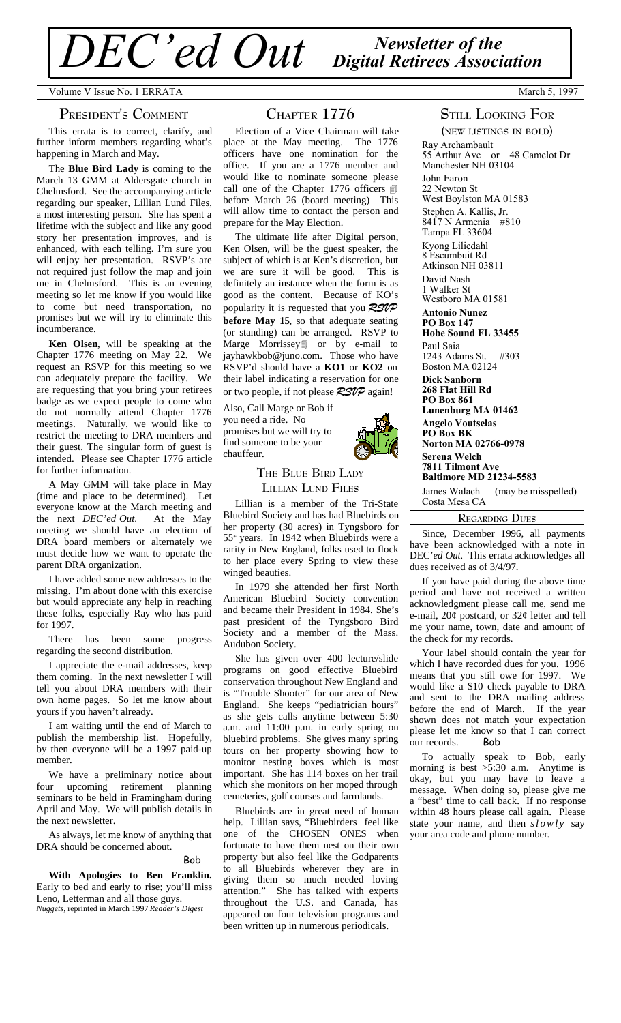*Newsletter of the DEC'ed Out Digital Retirees Association*

Volume V Issue No. 1 ERRATA March 5, 1997

#### **PRESIDENT'<sup>S</sup> COMMENT**

This errata is to correct, clarify, and further inform members regarding what's happening in March and May.

The **Blue Bird Lady** is coming to the March 13 GMM at Aldersgate church in Chelmsford. See the accompanying article regarding our speaker, Lillian Lund Files, a most interesting person. She has spent a lifetime with the subject and like any good story her presentation improves, and is enhanced, with each telling. I'm sure you will enjoy her presentation. RSVP's are not required just follow the map and join me in Chelmsford. This is an evening meeting so let me know if you would like to come but need transportation, no promises but we will try to eliminate this incumberance.

**Ken Olsen**, will be speaking at the Chapter 1776 meeting on May 22. We request an RSVP for this meeting so we can adequately prepare the facility. We are requesting that you bring your retirees badge as we expect people to come who do not normally attend Chapter 1776 meetings. Naturally, we would like to restrict the meeting to DRA members and their guest. The singular form of guest is intended. Please see Chapter 1776 article for further information.

A May GMM will take place in May (time and place to be determined). Let everyone know at the March meeting and<br>the next *DEC'ed Out*. At the May the next *DEC'ed Out*. meeting we should have an election of DRA board members or alternately we must decide how we want to operate the parent DRA organization.

I have added some new addresses to the missing. I'm about done with this exercise but would appreciate any help in reaching these folks, especially Ray who has paid for 1997.

There has been some progress regarding the second distribution.

I appreciate the e-mail addresses, keep them coming. In the next newsletter I will tell you about DRA members with their own home pages. So let me know about yours if you haven't already.

I am waiting until the end of March to publish the membership list. Hopefully, by then everyone will be a 1997 paid-up member.

We have a preliminary notice about four upcoming retirement planning seminars to be held in Framingham during April and May. We will publish details in the next newsletter.

As always, let me know of anything that DRA should be concerned about.

## Bob

**With Apologies to Ben Franklin.** Early to bed and early to rise; you'll miss Leno, Letterman and all those guys. *Nuggets,* reprinted in March 1997 *Reader's Digest*

## **CHAPTER 1776**

Election of a Vice Chairman will take place at the May meeting. The 1776 officers have one nomination for the office. If you are a 1776 member and would like to nominate someone please call one of the Chapter 1776 officers  $\Box$ before March 26 (board meeting) This will allow time to contact the person and prepare for the May Election.

The ultimate life after Digital person, Ken Olsen, will be the guest speaker, the subject of which is at Ken's discretion, but we are sure it will be good. This is definitely an instance when the form is as good as the content. Because of KO's popularity it is requested that you *RSVP* **before May 15**, so that adequate seating (or standing) can be arranged. RSVP to Marge Morrissey<sub>1</sub> or by e-mail to jayhawkbob@juno.com. Those who have RSVP'd should have a **KO1** or **KO2** on their label indicating a reservation for one or two people, if not please *RSVP* again**!**

Also, Call Marge or Bob if you need a ride. No promises but we will try to find someone to be your chauffeur.



Lillian is a member of the Tri-State Bluebird Society and has had Bluebirds on her property (30 acres) in Tyngsboro for 55 <sup>+</sup> years. In 1942 when Bluebirds were a rarity in New England, folks used to flock to her place every Spring to view these winged beauties.

In 1979 she attended her first North American Bluebird Society convention and became their President in 1984. She's past president of the Tyngsboro Bird Society and a member of the Mass. Audubon Society.

She has given over 400 lecture/slide programs on good effective Bluebird conservation throughout New England and is "Trouble Shooter" for our area of New England. She keeps "pediatrician hours" as she gets calls anytime between 5:30 a.m. and 11:00 p.m. in early spring on bluebird problems. She gives many spring tours on her property showing how to monitor nesting boxes which is most important. She has 114 boxes on her trail which she monitors on her moped through cemeteries, golf courses and farmlands.

Bluebirds are in great need of human help. Lillian says, "Bluebirders feel like one of the CHOSEN ONES when fortunate to have them nest on their own property but also feel like the Godparents to all Bluebirds wherever they are in giving them so much needed loving attention." She has talked with experts throughout the U.S. and Canada, has appeared on four television programs and been written up in numerous periodicals.

# **STILL LOOKING FOR**

**(NEW LISTINGS IN BOLD)** Ray Archambault 55 Arthur Ave or 48 Camelot Dr Manchester NH 03104 John Earon 22 Newton St West Boylston MA 01583 Stephen A. Kallis, Jr.<br>8417 N Armenia #810  $8417$  N Armenia Tampa FL 33604 Kyong Liliedahl 8 Escumbuit Rd Atkinson NH 03811 David Nash 1 Walker St Westboro MA 01581 **Antonio Nunez PO Box 147 Hobe Sound FL 33455** Paul Saia 1243 Adams St. #303 Boston MA 02124 **Dick Sanborn 268 Flat Hill Rd PO Box 861 Lunenburg MA 01462 Angelo Voutselas PO Box BK Norton MA 02766-0978 Serena Welch 7811 Tilmont Ave Baltimore MD 21234-5583** James Walach (may be misspelled) Costa Mesa CA

#### **REGARDING DUES**

Since, December 1996, all payments have been acknowledged with a note in DEC'*ed Out.* This errata acknowledges all dues received as of 3/4/97.

If you have paid during the above time period and have not received a written acknowledgment please call me, send me e-mail, 20¢ postcard, or 32¢ letter and tell me your name, town, date and amount of the check for my records.

Your label should contain the year for which I have recorded dues for you. 1996 means that you still owe for 1997. We would like a \$10 check payable to DRA and sent to the DRA mailing address before the end of March. If the year shown does not match your expectation please let me know so that I can correct our records. Bob

To actually speak to Bob, early morning is best  $>5:30$  a.m. Anytime is okay, but you may have to leave a message. When doing so, please give me a "best" time to call back. If no response within 48 hours please call again. Please state your name, and then  $s \, \textit{low} \, \textit{ly}$  say your area code and phone number.